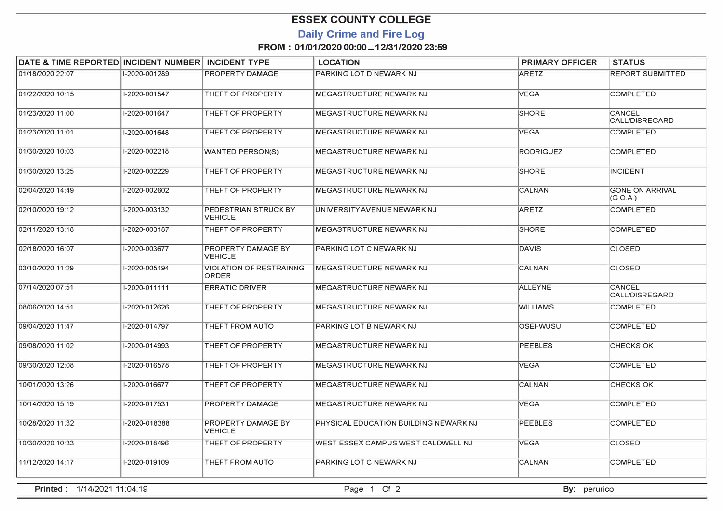## **ESSEX COUNTY COLLEGE**

### **Daily Crime and Fire Log**

#### **FROM : 01/01/2020 00:00-12/31/2020 23:59**

| DATE & TIME REPORTED   INCIDENT NUMBER |               | <b>INCIDENT TYPE</b>                    | <b>LOCATION</b>                       | <b>PRIMARY OFFICER</b> | <b>STATUS</b>                      |
|----------------------------------------|---------------|-----------------------------------------|---------------------------------------|------------------------|------------------------------------|
| 01/18/2020 22:07                       | I-2020-001289 | PROPERTY DAMAGE                         | PARKING LOT D NEWARK NJ               | <b>ARETZ</b>           | <b>REPORT SUBMITTED</b>            |
| 01/22/2020 10:15                       | I-2020-001547 | THEFT OF PROPERTY                       | MEGASTRUCTURE NEWARK NJ               | <b>VEGA</b>            | <b>COMPLETED</b>                   |
| 01/23/2020 11:00                       | I-2020-001647 | THEFT OF PROPERTY                       | MEGASTRUCTURE NEWARK NJ               | <b>SHORE</b>           | CANCEL<br>CALL/DISREGARD           |
| 01/23/2020 11:01                       | I-2020-001648 | THEFT OF PROPERTY                       | MEGASTRUCTURE NEWARK NJ               | <b>VEGA</b>            | <b>COMPLETED</b>                   |
| 01/30/2020 10:03                       | I-2020-002218 | <b>WANTED PERSON(S)</b>                 | MEGASTRUCTURE NEWARK NJ               | <b>RODRIGUEZ</b>       | <b>COMPLETED</b>                   |
| 01/30/2020 13:25                       | I-2020-002229 | THEFT OF PROPERTY                       | MEGASTRUCTURE NEWARK NJ               | <b>SHORE</b>           | <b>INCIDENT</b>                    |
| 02/04/2020 14:49                       | I-2020-002602 | THEFT OF PROPERTY                       | MEGASTRUCTURE NEWARK NJ               | <b>CALNAN</b>          | <b>GONE ON ARRIVAL</b><br>(G.O.A.) |
| 02/10/2020 19:12                       | I-2020-003132 | PEDESTRIAN STRUCK BY<br><b>VEHICLE</b>  | UNIVERSITY AVENUE NEWARK NJ           | ARETZ                  | <b>COMPLETED</b>                   |
| 02/11/2020 13:18                       | I-2020-003187 | THEFT OF PROPERTY                       | MEGASTRUCTURE NEWARK NJ               | <b>SHORE</b>           | <b>COMPLETED</b>                   |
| 02/18/2020 16:07                       | I-2020-003677 | PROPERTY DAMAGE BY<br><b>VEHICLE</b>    | PARKING LOT C NEWARK NJ               | DAVIS                  | <b>CLOSED</b>                      |
| 03/10/2020 11:29                       | I-2020-005194 | <b>VIOLATION OF RESTRAINNG</b><br>ORDER | MEGASTRUCTURE NEWARK NJ               | CALNAN                 | <b>CLOSED</b>                      |
| 07/14/2020 07:51                       | I-2020-011111 | <b>ERRATIC DRIVER</b>                   | MEGASTRUCTURE NEWARK NJ               | <b>ALLEYNE</b>         | CANCEL<br>CALL/DISREGARD           |
| 08/06/2020 14:51                       | I-2020-012626 | THEFT OF PROPERTY                       | MEGASTRUCTURE NEWARK NJ               | <b>WILLIAMS</b>        | <b>COMPLETED</b>                   |
| 09/04/2020 11:47                       | I-2020-014797 | THEFT FROM AUTO                         | PARKING LOT B NEWARK NJ               | OSEI-WUSU              | <b>COMPLETED</b>                   |
| 09/08/2020 11:02                       | I-2020-014993 | THEFT OF PROPERTY                       | <b>MEGASTRUCTURE NEWARK NJ</b>        | <b>PEEBLES</b>         | ICHECKS OK                         |
| 09/30/2020 12:08                       | I-2020-016578 | THEFT OF PROPERTY                       | MEGASTRUCTURE NEWARK NJ               | <b>VEGA</b>            | <b>COMPLETED</b>                   |
| 10/01/2020 13:26                       | I-2020-016677 | THEFT OF PROPERTY                       | <b>MEGASTRUCTURE NEWARK NJ</b>        | <b>CALNAN</b>          | <b>CHECKS OK</b>                   |
| 10/14/2020 15:19                       | I-2020-017531 | <b>PROPERTY DAMAGE</b>                  | MEGASTRUCTURE NEWARK NJ               | <b>VEGA</b>            | <b>COMPLETED</b>                   |
| 10/28/2020 11:32                       | I-2020-018388 | PROPERTY DAMAGE BY<br><b>VEHICLE</b>    | PHYSICAL EDUCATION BUILDING NEWARK NJ | <b>PEEBLES</b>         | <b>COMPLETED</b>                   |
| 10/30/2020 10:33                       | I-2020-018496 | THEFT OF PROPERTY                       | WEST ESSEX CAMPUS WEST CALDWELL NJ    | <b>VEGA</b>            | <b>CLOSED</b>                      |
| 11/12/2020 14:17                       | I-2020-019109 | THEFT FROM AUTO                         | PARKING LOT C NEWARK NJ               | CALNAN                 | <b>COMPLETED</b>                   |
|                                        |               |                                         |                                       |                        |                                    |

**Printed:** 1/14/2021 11:04:19